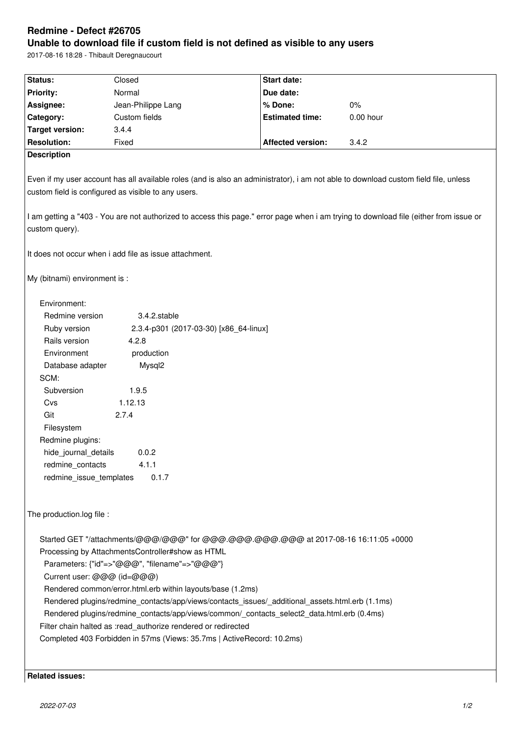# **Redmine - Defect #26705**

**Unable to download file if custom field is not defined as visible to any users**

2017-08-16 18:28 - Thibault Deregnaucourt

| Status:                                                                                                                                                                                    | Closed                                 | <b>Start date:</b>       |           |
|--------------------------------------------------------------------------------------------------------------------------------------------------------------------------------------------|----------------------------------------|--------------------------|-----------|
| Priority:                                                                                                                                                                                  | Normal                                 | Due date:                |           |
| Assignee:                                                                                                                                                                                  | Jean-Philippe Lang                     | % Done:                  | $0\%$     |
| Category:                                                                                                                                                                                  | Custom fields                          | <b>Estimated time:</b>   | 0.00 hour |
| <b>Target version:</b>                                                                                                                                                                     | 3.4.4                                  |                          |           |
| <b>Resolution:</b>                                                                                                                                                                         | Fixed                                  | <b>Affected version:</b> | 3.4.2     |
| <b>Description</b>                                                                                                                                                                         |                                        |                          |           |
|                                                                                                                                                                                            |                                        |                          |           |
| Even if my user account has all available roles (and is also an administrator), i am not able to download custom field file, unless<br>custom field is configured as visible to any users. |                                        |                          |           |
| I am getting a "403 - You are not authorized to access this page." error page when i am trying to download file (either from issue or<br>custom query).                                    |                                        |                          |           |
| It does not occur when i add file as issue attachment.                                                                                                                                     |                                        |                          |           |
| My (bitnami) environment is :                                                                                                                                                              |                                        |                          |           |
| Environment:                                                                                                                                                                               |                                        |                          |           |
| Redmine version                                                                                                                                                                            | 3.4.2.stable                           |                          |           |
| Ruby version                                                                                                                                                                               | 2.3.4-p301 (2017-03-30) [x86_64-linux] |                          |           |
| Rails version                                                                                                                                                                              | 4.2.8                                  |                          |           |
| Environment                                                                                                                                                                                | production                             |                          |           |
| Database adapter                                                                                                                                                                           | Mysql <sub>2</sub>                     |                          |           |
| SCM:                                                                                                                                                                                       |                                        |                          |           |
| Subversion                                                                                                                                                                                 | 1.9.5                                  |                          |           |
|                                                                                                                                                                                            | 1.12.13                                |                          |           |
| Cvs                                                                                                                                                                                        |                                        |                          |           |
| Git                                                                                                                                                                                        | 2.7.4                                  |                          |           |
| Filesystem                                                                                                                                                                                 |                                        |                          |           |
| Redmine plugins:                                                                                                                                                                           |                                        |                          |           |
| hide_journal_details                                                                                                                                                                       | 0.0.2                                  |                          |           |
| 4.1.1<br>redmine_contacts                                                                                                                                                                  |                                        |                          |           |
| 0.1.7<br>redmine_issue_templates                                                                                                                                                           |                                        |                          |           |
| The production.log file :                                                                                                                                                                  |                                        |                          |           |
| Started GET "/attachments/@@@/@@@" for @@@.@@@.@@@.@@@ at 2017-08-16 16:11:05 +0000                                                                                                        |                                        |                          |           |
| Processing by AttachmentsController#show as HTML                                                                                                                                           |                                        |                          |           |
| Parameters: {"id"=>"@@@", "filename"=>"@@@"}                                                                                                                                               |                                        |                          |           |
| Current user: @@@ (id=@@@)                                                                                                                                                                 |                                        |                          |           |
| Rendered common/error.html.erb within layouts/base (1.2ms)                                                                                                                                 |                                        |                          |           |
| Rendered plugins/redmine_contacts/app/views/contacts_issues/_additional_assets.html.erb (1.1ms)                                                                                            |                                        |                          |           |
| Rendered plugins/redmine_contacts/app/views/common/_contacts_select2_data.html.erb (0.4ms)                                                                                                 |                                        |                          |           |
| Filter chain halted as :read_authorize rendered or redirected                                                                                                                              |                                        |                          |           |
| Completed 403 Forbidden in 57ms (Views: 35.7ms   ActiveRecord: 10.2ms)                                                                                                                     |                                        |                          |           |
|                                                                                                                                                                                            |                                        |                          |           |
|                                                                                                                                                                                            |                                        |                          |           |

**Related issues:**